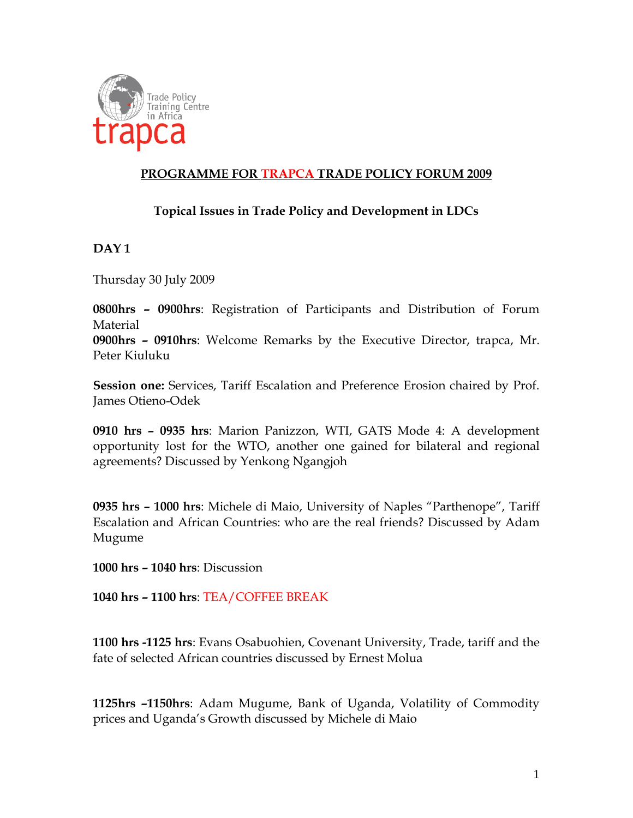

# **PROGRAMME FOR TRAPCA TRADE POLICY FORUM 2009**

## **Topical Issues in Trade Policy and Development in LDCs**

#### **DAY 1**

Thursday 30 July 2009

**0800hrs – 0900hrs**: Registration of Participants and Distribution of Forum Material

**0900hrs – 0910hrs**: Welcome Remarks by the Executive Director, trapca, Mr. Peter Kiuluku

**Session one:** Services, Tariff Escalation and Preference Erosion chaired by Prof. James Otieno-Odek

**0910 hrs – 0935 hrs**: Marion Panizzon, WTI, GATS Mode 4: A development opportunity lost for the WTO, another one gained for bilateral and regional agreements? Discussed by Yenkong Ngangjoh

**0935 hrs – 1000 hrs**: Michele di Maio, University of Naples "Parthenope", Tariff Escalation and African Countries: who are the real friends? Discussed by Adam Mugume

**1000 hrs – 1040 hrs**: Discussion

**1040 hrs – 1100 hrs**: TEA/COFFEE BREAK

**1100 hrs -1125 hrs**: Evans Osabuohien, Covenant University, Trade, tariff and the fate of selected African countries discussed by Ernest Molua

**1125hrs –1150hrs**: Adam Mugume, Bank of Uganda, Volatility of Commodity prices and Uganda's Growth discussed by Michele di Maio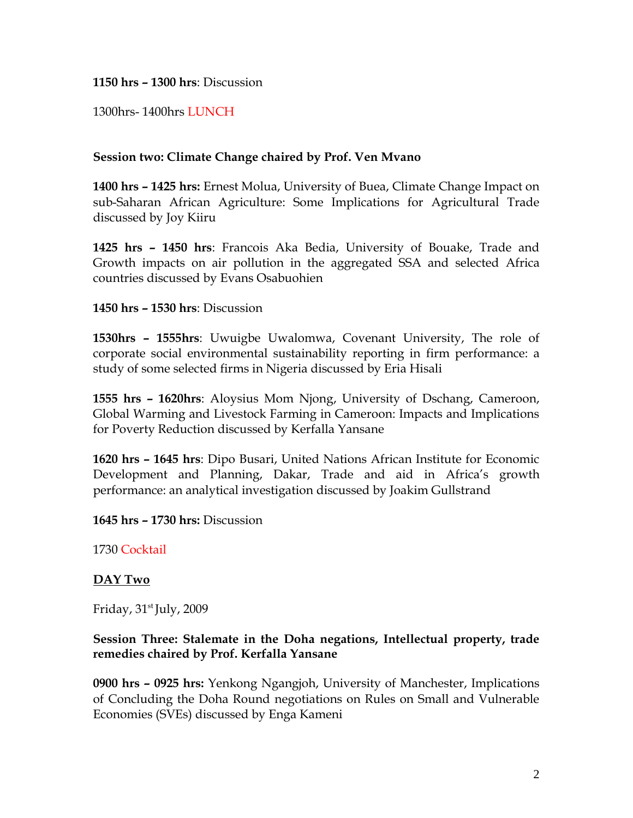**1150 hrs – 1300 hrs**: Discussion

1300hrs- 1400hrs LUNCH

#### **Session two: Climate Change chaired by Prof. Ven Mvano**

**1400 hrs – 1425 hrs:** Ernest Molua, University of Buea, Climate Change Impact on sub-Saharan African Agriculture: Some Implications for Agricultural Trade discussed by Joy Kiiru

**1425 hrs – 1450 hrs**: Francois Aka Bedia, University of Bouake, Trade and Growth impacts on air pollution in the aggregated SSA and selected Africa countries discussed by Evans Osabuohien

#### **1450 hrs – 1530 hrs**: Discussion

**1530hrs – 1555hrs**: Uwuigbe Uwalomwa, Covenant University, The role of corporate social environmental sustainability reporting in firm performance: a study of some selected firms in Nigeria discussed by Eria Hisali

**1555 hrs – 1620hrs**: Aloysius Mom Njong, University of Dschang, Cameroon, Global Warming and Livestock Farming in Cameroon: Impacts and Implications for Poverty Reduction discussed by Kerfalla Yansane

**1620 hrs – 1645 hrs**: Dipo Busari, United Nations African Institute for Economic Development and Planning, Dakar, Trade and aid in Africa's growth performance: an analytical investigation discussed by Joakim Gullstrand

**1645 hrs – 1730 hrs:** Discussion

1730 Cocktail

#### **DAY Two**

Friday,  $31<sup>st</sup>$  July, 2009

### **Session Three: Stalemate in the Doha negations, Intellectual property, trade remedies chaired by Prof. Kerfalla Yansane**

**0900 hrs – 0925 hrs:** Yenkong Ngangjoh, University of Manchester, Implications of Concluding the Doha Round negotiations on Rules on Small and Vulnerable Economies (SVEs) discussed by Enga Kameni